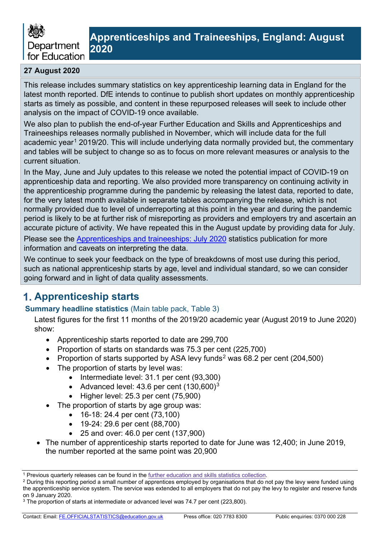

#### **27 August 2020**

This release includes summary statistics on key apprenticeship learning data in England for the latest month reported. DfE intends to continue to publish short updates on monthly apprenticeship starts as timely as possible, and content in these repurposed releases will seek to include other analysis on the impact of COVID-19 once available.

 Traineeships releases normally published in November, which will include data for the full We also plan to publish the end-of-year Further Education and Skills and Apprenticeships and academic year<sup>[1](#page-0-0)</sup> 2019/20. This will include underlying data normally provided but, the commentary and tables will be subject to change so as to focus on more relevant measures or analysis to the current situation.

In the May, June and July updates to this release we noted the potential impact of COVID-19 on apprenticeship data and reporting. We also provided more transparency on continuing activity in the apprenticeship programme during the pandemic by releasing the latest data, reported to date, for the very latest month available in separate tables accompanying the release, which is not normally provided due to level of underreporting at this point in the year and during the pandemic period is likely to be at further risk of misreporting as providers and employers try and ascertain an accurate picture of activity. We have repeated this in the August update by providing data for July. Please see the [Apprenticeships and traineeships: July 2020](https://www.gov.uk/government/statistics/apprenticeships-and-traineeships-july-2020) statistics publication for more

information and caveats on interpreting the data.

We continue to seek your feedback on the type of breakdowns of most use during this period, such as national apprenticeship starts by age, level and individual standard, so we can consider going forward and in light of data quality assessments.

## 1. **Apprenticeship starts**

#### **Summary headline statistics** (Main table pack, Table 3)

Latest figures for the first 11 months of the 2019/20 academic year (August 2019 to June 2020) show:

- Apprenticeship starts reported to date are 299,700
- Proportion of starts on standards was 75.3 per cent (225,700)
- Proportion of starts supported by ASA levy funds<sup>2</sup> was 68.[2](#page-0-1) per cent (204,500)
- The proportion of starts by level was:
	- Intermediate level: 31.1 per cent (93,300)
	- Advanced level: 43.6 per cent  $(130,600)^3$
	- Higher level: 25.3 per cent (75,900)
- The proportion of starts by age group was:
	- 16-18: 24.4 per cent (73,100)
	- 19-24: 29.6 per cent (88,700)
	- 25 and over: 46.0 per cent (137,900)
- The number of apprenticeship starts reported to date for June was 12,400; in June 2019, the number reported at the same point was 20,900

<span id="page-0-0"></span><sup>&</sup>lt;sup>1</sup> Previous quarterly releases can be found in the further education and skills statistics collection.

<span id="page-0-1"></span><sup>&</sup>lt;sup>2</sup> During this reporting period a small number of apprentices employed by organisations that do not pay the levy were funded using the apprenticeship service system. The service was extended to all employers that do not pay the levy to register and reserve funds on 9 January 2020.

<span id="page-0-2"></span> $3$  The proportion of starts at intermediate or advanced level was 74.7 per cent (223,800).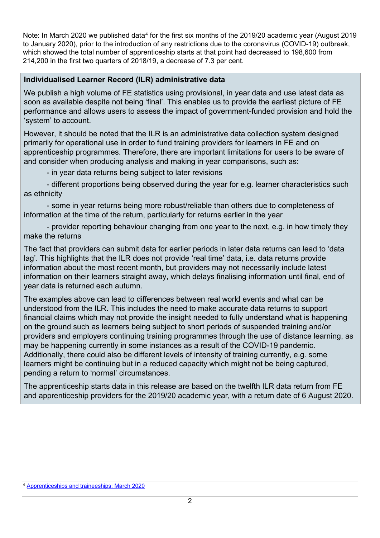to January 2020), prior to the introduction of any restrictions due to the coronavirus (COVID-19) outbreak, 214,200 in the first two quarters of 2018/19, a decrease of 7.3 per cent. Note: In March 2020 we published data<sup>4</sup> for the first six months of the 2019/20 academic year (August 2019) which showed the total number of apprenticeship starts at that point had decreased to 198,600 from

#### **Individualised Learner Record (ILR) administrative data**

We publish a high volume of FE statistics using provisional, in year data and use latest data as soon as available despite not being 'final'. This enables us to provide the earliest picture of FE performance and allows users to assess the impact of government-funded provision and hold the 'system' to account.

However, it should be noted that the ILR is an administrative data collection system designed primarily for operational use in order to fund training providers for learners in FE and on apprenticeship programmes. Therefore, there are important limitations for users to be aware of and consider when producing analysis and making in year comparisons, such as:

- in year data returns being subject to later revisions

- different proportions being observed during the year for e.g. learner characteristics such as ethnicity

 information at the time of the return, particularly for returns earlier in the year - some in year returns being more robust/reliable than others due to completeness of

- provider reporting behaviour changing from one year to the next, e.g. in how timely they make the returns

The fact that providers can submit data for earlier periods in later data returns can lead to 'data lag'. This highlights that the ILR does not provide 'real time' data, i.e. data returns provide information about the most recent month, but providers may not necessarily include latest information on their learners straight away, which delays finalising information until final, end of year data is returned each autumn.

The examples above can lead to differences between real world events and what can be understood from the ILR. This includes the need to make accurate data returns to support financial claims which may not provide the insight needed to fully understand what is happening on the ground such as learners being subject to short periods of suspended training and/or providers and employers continuing training programmes through the use of distance learning, as may be happening currently in some instances as a result of the COVID-19 pandemic. Additionally, there could also be different levels of intensity of training currently, e.g. some learners might be continuing but in a reduced capacity which might not be being captured, pending a return to 'normal' circumstances.

The apprenticeship starts data in this release are based on the twelfth ILR data return from FE and apprenticeship providers for the 2019/20 academic year, with a return date of 6 August 2020.

<span id="page-1-0"></span><sup>&</sup>lt;sup>4</sup> Apprenticeships and traineeships: March 2020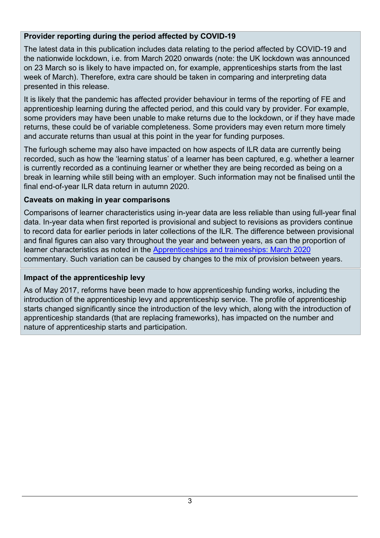### **Provider reporting during the period affected by COVID-19**

The latest data in this publication includes data relating to the period affected by COVID-19 and the nationwide lockdown, i.e. from March 2020 onwards (note: the UK lockdown was announced on 23 March so is likely to have impacted on, for example, apprenticeships starts from the last week of March). Therefore, extra care should be taken in comparing and interpreting data presented in this release.

It is likely that the pandemic has affected provider behaviour in terms of the reporting of FE and apprenticeship learning during the affected period, and this could vary by provider. For example, some providers may have been unable to make returns due to the lockdown, or if they have made returns, these could be of variable completeness. Some providers may even return more timely and accurate returns than usual at this point in the year for funding purposes.

 recorded, such as how the 'learning status' of a learner has been captured, e.g. whether a learner The furlough scheme may also have impacted on how aspects of ILR data are currently being is currently recorded as a continuing learner or whether they are being recorded as being on a break in learning while still being with an employer. Such information may not be finalised until the final end-of-year ILR data return in autumn 2020.

### **Caveats on making in year comparisons**

Comparisons of learner characteristics using in-year data are less reliable than using full-year final data. In-year data when first reported is provisional and subject to revisions as providers continue to record data for earlier periods in later collections of the ILR. The difference between provisional and final figures can also vary throughout the year and between years, as can the proportion of learner characteristics as noted in the [Apprenticeships and traineeships: March 2020](https://assets.publishing.service.gov.uk/government/uploads/system/uploads/attachment_data/file/879208/March2020_apprenticeships-and-traineeships-2.pdf)  commentary. Such variation can be caused by changes to the mix of provision between years.

## **Impact of the apprenticeship levy**

As of May 2017, reforms have been made to how apprenticeship funding works, including the introduction of the apprenticeship levy and apprenticeship service. The profile of apprenticeship starts changed significantly since the introduction of the levy which, along with the introduction of apprenticeship standards (that are replacing frameworks), has impacted on the number and nature of apprenticeship starts and participation.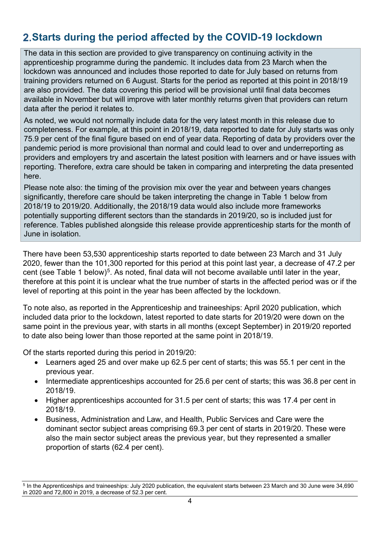# 2. **Starts during the period affected by the COVID-19 lockdown**

The data in this section are provided to give transparency on continuing activity in the apprenticeship programme during the pandemic. It includes data from 23 March when the lockdown was announced and includes those reported to date for July based on returns from training providers returned on 6 August. Starts for the period as reported at this point in 2018/19 are also provided. The data covering this period will be provisional until final data becomes available in November but will improve with later monthly returns given that providers can return data after the period it relates to.

As noted, we would not normally include data for the very latest month in this release due to completeness. For example, at this point in 2018/19, data reported to date for July starts was only 75.9 per cent of the final figure based on end of year data. Reporting of data by providers over the pandemic period is more provisional than normal and could lead to over and underreporting as providers and employers try and ascertain the latest position with learners and or have issues with reporting. Therefore, extra care should be taken in comparing and interpreting the data presented here.

Please note also: the timing of the provision mix over the year and between years changes significantly, therefore care should be taken interpreting the change in Table 1 below from 2018/19 to 2019/20. Additionally, the 2018/19 data would also include more frameworks potentially supporting different sectors than the standards in 2019/20, so is included just for reference. Tables published alongside this release provide apprenticeship starts for the month of June in isolation.

 There have been 53,530 apprenticeship starts reported to date between 23 March and 31 July 2020, fewer than the 101,300 reported for this period at this point last year, a decrease of 47.2 per cent (see Table 1 below)<sup>[5](#page-3-0)</sup>. As noted, final data will not become available until later in the year, therefore at this point it is unclear what the true number of starts in the affected period was or if the level of reporting at this point in the year has been affected by the lockdown.

To note also, as reported in the Apprenticeship and traineeships: April 2020 publication, which included data prior to the lockdown, latest reported to date starts for 2019/20 were down on the same point in the previous year, with starts in all months (except September) in 2019/20 reported to date also being lower than those reported at the same point in 2018/19.

Of the starts reported during this period in 2019/20:

- • Learners aged 25 and over make up 62.5 per cent of starts; this was 55.1 per cent in the previous year.
- Intermediate apprenticeships accounted for 25.6 per cent of starts; this was 36.8 per cent in 2018/19.
- • Higher apprenticeships accounted for 31.5 per cent of starts; this was 17.4 per cent in 2018/19.
- dominant sector subject areas comprising 69.3 per cent of starts in 2019/20. These were proportion of starts (62.4 per cent). • Business, Administration and Law, and Health, Public Services and Care were the also the main sector subject areas the previous year, but they represented a smaller

<span id="page-3-0"></span><sup>5</sup> In the Apprenticeships and traineeships: July 2020 publication, the equivalent starts between 23 March and 30 June were 34,690 in 2020 and 72,800 in 2019, a decrease of 52.3 per cent.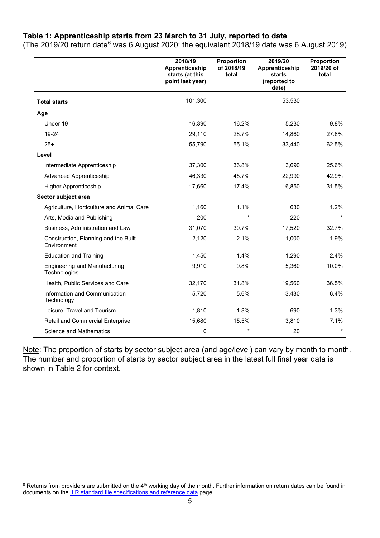#### **Table 1: Apprenticeship starts from 23 March to 31 July, reported to date**

(The 2019/20 return date<sup>6</sup> was [6](#page-4-0) August 2020; the equivalent 2018/19 date was 6 August 2019)

|                                                      | 2018/19<br>Apprenticeship<br>starts (at this<br>point last year) | Proportion<br>of 2018/19<br>total | 2019/20<br>Apprenticeship<br>starts<br>(reported to<br>date) | Proportion<br>2019/20 of<br>total |
|------------------------------------------------------|------------------------------------------------------------------|-----------------------------------|--------------------------------------------------------------|-----------------------------------|
| <b>Total starts</b>                                  | 101,300                                                          |                                   | 53,530                                                       |                                   |
| Age                                                  |                                                                  |                                   |                                                              |                                   |
| Under 19                                             | 16,390                                                           | 16.2%                             | 5,230                                                        | 9.8%                              |
| 19-24                                                | 29,110                                                           | 28.7%                             | 14,860                                                       | 27.8%                             |
| $25+$                                                | 55,790                                                           | 55.1%                             | 33,440                                                       | 62.5%                             |
| Level                                                |                                                                  |                                   |                                                              |                                   |
| Intermediate Apprenticeship                          | 37,300                                                           | 36.8%                             | 13,690                                                       | 25.6%                             |
| <b>Advanced Apprenticeship</b>                       | 46,330                                                           | 45.7%                             | 22,990                                                       | 42.9%                             |
| <b>Higher Apprenticeship</b>                         | 17,660                                                           | 17.4%                             | 16,850                                                       | 31.5%                             |
| Sector subject area                                  |                                                                  |                                   |                                                              |                                   |
| Agriculture, Horticulture and Animal Care            | 1,160                                                            | 1.1%                              | 630                                                          | 1.2%                              |
| Arts, Media and Publishing                           | 200                                                              | $\star$                           | 220                                                          |                                   |
| Business, Administration and Law                     | 31,070                                                           | 30.7%                             | 17,520                                                       | 32.7%                             |
| Construction, Planning and the Built<br>Environment  | 2,120                                                            | 2.1%                              | 1,000                                                        | 1.9%                              |
| <b>Education and Training</b>                        | 1.450                                                            | 1.4%                              | 1,290                                                        | 2.4%                              |
| <b>Engineering and Manufacturing</b><br>Technologies | 9,910                                                            | 9.8%                              | 5,360                                                        | 10.0%                             |
| Health, Public Services and Care                     | 32,170                                                           | 31.8%                             | 19,560                                                       | 36.5%                             |
| Information and Communication<br>Technology          | 5,720                                                            | 5.6%                              | 3,430                                                        | 6.4%                              |
| Leisure, Travel and Tourism                          | 1,810                                                            | 1.8%                              | 690                                                          | 1.3%                              |
| Retail and Commercial Enterprise                     | 15,680                                                           | 15.5%                             | 3,810                                                        | 7.1%                              |
| Science and Mathematics                              | 10                                                               | $\star$                           | 20                                                           | $\star$                           |

Note: The proportion of starts by sector subject area (and age/level) can vary by month to month. The number and proportion of starts by sector subject area in the latest full final year data is shown in Table 2 for context.

<span id="page-4-0"></span>documents on the **ILR standard file specifications and reference data** page.  $6$  Returns from providers are submitted on the 4<sup>th</sup> working day of the month. Further information on return dates can be found in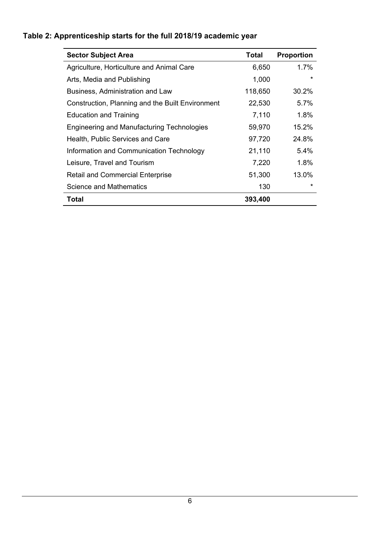| <b>Sector Subject Area</b>                        | Total   | <b>Proportion</b> |
|---------------------------------------------------|---------|-------------------|
| Agriculture, Horticulture and Animal Care         | 6,650   | $1.7\%$           |
| Arts, Media and Publishing                        | 1,000   | $\star$           |
| Business, Administration and Law                  | 118,650 | 30.2%             |
| Construction, Planning and the Built Environment  | 22,530  | 5.7%              |
| <b>Education and Training</b>                     | 7,110   | 1.8%              |
| <b>Engineering and Manufacturing Technologies</b> | 59,970  | 15.2%             |
| Health, Public Services and Care                  | 97,720  | 24.8%             |
| Information and Communication Technology          | 21,110  | 5.4%              |
| Leisure, Travel and Tourism                       | 7,220   | 1.8%              |
| <b>Retail and Commercial Enterprise</b>           | 51,300  | $13.0\%$          |
| Science and Mathematics                           | 130     | *                 |
| Total                                             | 393,400 |                   |

## **Table 2: Apprenticeship starts for the full 2018/19 academic year**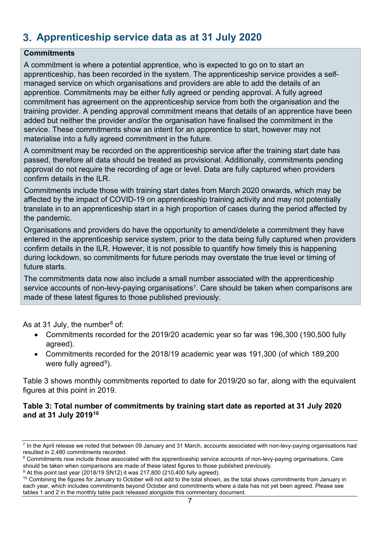# 3. **Apprenticeship service data as at 31 July 2020**

#### **Commitments**

A commitment is where a potential apprentice, who is expected to go on to start an apprenticeship, has been recorded in the system. The apprenticeship service provides a selfmanaged service on which organisations and providers are able to add the details of an apprentice. Commitments may be either fully agreed or pending approval. A fully agreed commitment has agreement on the apprenticeship service from both the organisation and the training provider. A pending approval commitment means that details of an apprentice have been added but neither the provider and/or the organisation have finalised the commitment in the service. These commitments show an intent for an apprentice to start, however may not materialise into a fully agreed commitment in the future.

A commitment may be recorded on the apprenticeship service after the training start date has passed, therefore all data should be treated as provisional. Additionally, commitments pending approval do not require the recording of age or level. Data are fully captured when providers confirm details in the ILR.

Commitments include those with training start dates from March 2020 onwards, which may be affected by the impact of COVID-19 on apprenticeship training activity and may not potentially translate in to an apprenticeship start in a high proportion of cases during the period affected by the pandemic.

 during lockdown, so commitments for future periods may overstate the true level or timing of Organisations and providers do have the opportunity to amend/delete a commitment they have entered in the apprenticeship service system, prior to the data being fully captured when providers confirm details in the ILR. However, it is not possible to quantify how timely this is happening future starts.

made of these latest figures to those published previously.<br>As at 31 July, the number<sup>[8](#page-6-1)</sup> of: The commitments data now also include a small number associated with the apprenticeship service accounts of non-levy-paying organisations<sup>[7](#page-6-0)</sup>. Care should be taken when comparisons are

As at 31 July, the number<sup>8</sup> of:

- Commitments recorded for the 2019/20 academic year so far was 196,300 (190,500 fully agreed).
- • Commitments recorded for the 2018/19 academic year was 191,300 (of which 189,200 were fully agreed<sup>[9](#page-6-2)</sup>).

 Table 3 shows monthly commitments reported to date for 2019/20 so far, along with the equivalent figures at this point in 2019.

#### **Table 3: Total number of commitments by training start date as reported at 31 July 2020 and at 31 July 2019[10](#page-6-3)**

<span id="page-6-0"></span> $^7$  In the April release we noted that between 09 January and 31 March, accounts associated with non-levy-paying organisations had resulted in 2.480 commitments recorded.

<span id="page-6-1"></span><sup>&</sup>lt;sup>8</sup> Commitments now include those associated with the apprenticeship service accounts of non-levy-paying organisations. Care should be taken when comparisons are made of these latest figures to those published previously.

<span id="page-6-2"></span><sup>&</sup>lt;sup>9</sup> At this point last year (2018/19 SN12) it was 217,800 (210,400 fully agreed).

<span id="page-6-3"></span><sup>&</sup>lt;sup>10</sup> Combining the figures for January to October will not add to the total shown, as the total shows commitments from January in each year, which includes commitments beyond October and commitments where a date has not yet been agreed. Please see tables 1 and 2 in the monthly table pack released alongside this commentary document.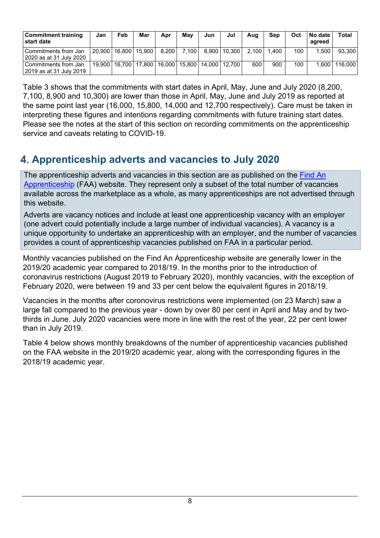| <b>Commitment training</b><br><b>I</b> start date | Jan | Feb                      | Mar | Apr   | May   | Jun   | Jul                                                          | Aua   | Sep   | Oct | No date<br>agreed | Total   |
|---------------------------------------------------|-----|--------------------------|-----|-------|-------|-------|--------------------------------------------------------------|-------|-------|-----|-------------------|---------|
| Commitments from Jan<br>2020 as at 31 July 2020   |     | 20.900   16.800   15.900 |     | 8.200 | 7.100 | 8.900 | 10.300                                                       | 2.100 | . 400 | 100 | 1.5001            | 93.300  |
| Commitments from Jan<br>l 2019 as at 31 July 2019 |     |                          |     |       |       |       | 19,900   16,700   17,800   16,000   15,800   14,000   12,700 | 600   | 900   | 100 | 1.600             | 116.000 |

 Table 3 shows that the commitments with start dates in April, May, June and July 2020 (8,200, the same point last year (16,000, 15,800, 14,000 and 12,700 respectively). Care must be taken in interpreting these figures and intentions regarding commitments with future training start dates. Please see the notes at the start of this section on recording commitments on the apprenticeship 7,100, 8,900 and 10,300) are lower than those in April, May, June and July 2019 as reported at service and caveats relating to COVID-19.

# 4. **Apprenticeship adverts and vacancies to July 2020**

The apprenticeship adverts and vacancies in this section are as published on the Find An [Apprenticeship](https://www.gov.uk/apply-apprenticeship) (FAA) website. They represent only a subset of the total number of vacancies available across the marketplace as a whole, as many apprenticeships are not advertised through this website.

 unique opportunity to undertake an apprenticeship with an employer, and the number of vacancies Adverts are vacancy notices and include at least one apprenticeship vacancy with an employer (one advert could potentially include a large number of individual vacancies). A vacancy is a provides a count of apprenticeship vacancies published on FAA in a particular period.

Monthly vacancies published on the Find An Apprenticeship website are generally lower in the 2019/20 academic year compared to 2018/19. In the months prior to the introduction of coronavirus restrictions (August 2019 to February 2020), monthly vacancies, with the exception of February 2020, were between 19 and 33 per cent below the equivalent figures in 2018/19.

Vacancies in the months after coronovirus restrictions were implemented (on 23 March) saw a large fall compared to the previous year - down by over 80 per cent in April and May and by twothirds in June. July 2020 vacancies were more in line with the rest of the year, 22 per cent lower than in July 2019.

Table 4 below shows monthly breakdowns of the number of apprenticeship vacancies published on the FAA website in the 2019/20 academic year, along with the corresponding figures in the 2018/19 academic year.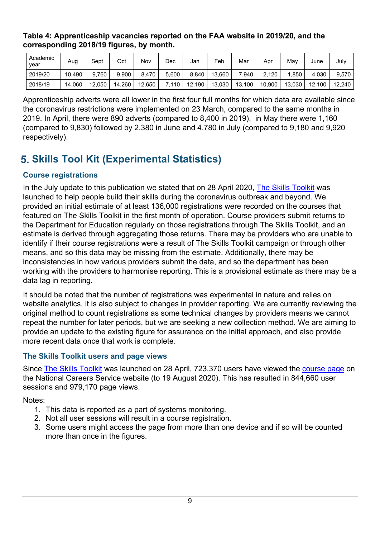#### **Table 4: Apprenticeship vacancies reported on the FAA website in 2019/20, and the corresponding 2018/19 figures, by month.**

| Academic<br>vear | Aug    | Sept   | Oct    | Nov    | Dec   | Jan    | Feb    | Mar    | Apr    | Mav    | June   | July   |
|------------------|--------|--------|--------|--------|-------|--------|--------|--------|--------|--------|--------|--------|
| 2019/20          | 10,490 | 9.760  | 9.900  | 8,470  | 5,600 | 8.840  | 13.660 | 7,940  | 2,120  | .850   | 4.030  | 9,570  |
| 2018/19          | 14.060 | 12,050 | 14.260 | 12,650 | .110  | 12,190 | 13,030 | 13,100 | 10,900 | 13.030 | 12.100 | 12.240 |

Apprenticeship adverts were all lower in the first four full months for which data are available since the coronavirus restrictions were implemented on 23 March, compared to the same months in 2019. In April, there were 890 adverts (compared to 8,400 in 2019), in May there were 1,160 (compared to 9,830) followed by 2,380 in June and 4,780 in July (compared to 9,180 and 9,920 respectively).

# 5. **Skills Tool Kit (Experimental Statistics)**

## **Course registrations**

In the July update to this publication we stated that on 28 April 2020, [The Skills Toolkit](https://theskillstoolkit.campaign.gov.uk/) was launched to help people build their skills during the coronavirus outbreak and beyond. We provided an initial estimate of at least 136,000 registrations were recorded on the courses that featured on The Skills Toolkit in the first month of operation. Course providers submit returns to the Department for Education regularly on those registrations through The Skills Toolkit, and an estimate is derived through aggregating those returns. There may be providers who are unable to identify if their course registrations were a result of The Skills Toolkit campaign or through other means, and so this data may be missing from the estimate. Additionally, there may be inconsistencies in how various providers submit the data, and so the department has been working with the providers to harmonise reporting. This is a provisional estimate as there may be a data lag in reporting.

It should be noted that the number of registrations was experimental in nature and relies on website analytics, it is also subject to changes in provider reporting. We are currently reviewing the original method to count registrations as some technical changes by providers means we cannot repeat the number for later periods, but we are seeking a new collection method. We are aiming to provide an update to the existing figure for assurance on the initial approach, and also provide more recent data once that work is complete.

#### **The Skills Toolkit users and page views**

Since [The Skills Toolkit](https://theskillstoolkit.campaign.gov.uk/) was launched on 28 April, 723,370 users have viewed the [course page](https://nationalcareers.service.gov.uk/find-a-course/the-skills-toolkit) on the National Careers Service website (to 19 August 2020). This has resulted in 844,660 user sessions and 979,170 page views.

Notes:

- 1. This data is reported as a part of systems monitoring.
- 2. Not all user sessions will result in a course registration.
- 3. Some users might access the page from more than one device and if so will be counted more than once in the figures.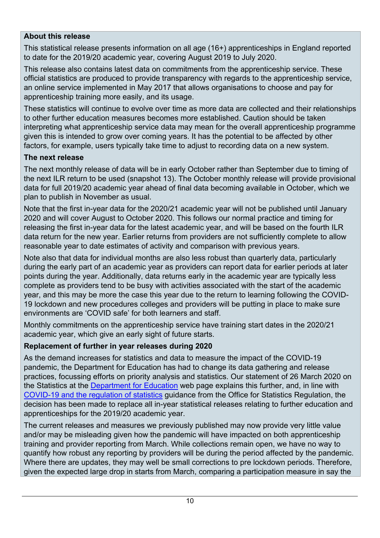#### **About this release**

This statistical release presents information on all age (16+) apprenticeships in England reported to date for the 2019/20 academic year, covering August 2019 to July 2020.

This release also contains latest data on commitments from the apprenticeship service. These official statistics are produced to provide transparency with regards to the apprenticeship service, an online service implemented in May 2017 that allows organisations to choose and pay for apprenticeship training more easily, and its usage.

These statistics will continue to evolve over time as more data are collected and their relationships to other further education measures becomes more established. Caution should be taken interpreting what apprenticeship service data may mean for the overall apprenticeship programme given this is intended to grow over coming years. It has the potential to be affected by other factors, for example, users typically take time to adjust to recording data on a new system.

#### **The next release**

The next monthly release of data will be in early October rather than September due to timing of the next ILR return to be used (snapshot 13). The October monthly release will provide provisional data for full 2019/20 academic year ahead of final data becoming available in October, which we plan to publish in November as usual.

Note that the first in-year data for the 2020/21 academic year will not be published until January 2020 and will cover August to October 2020. This follows our normal practice and timing for releasing the first in-year data for the latest academic year, and will be based on the fourth ILR data return for the new year. Earlier returns from providers are not sufficiently complete to allow reasonable year to date estimates of activity and comparison with previous years.

Note also that data for individual months are also less robust than quarterly data, particularly during the early part of an academic year as providers can report data for earlier periods at later points during the year. Additionally, data returns early in the academic year are typically less complete as providers tend to be busy with activities associated with the start of the academic year, and this may be more the case this year due to the return to learning following the COVID-19 lockdown and new procedures colleges and providers will be putting in place to make sure environments are 'COVID safe' for both learners and staff.

Monthly commitments on the apprenticeship service have training start dates in the 2020/21 academic year, which give an early sight of future starts.

#### **Replacement of further in year releases during 2020**

As the demand increases for statistics and data to measure the impact of the COVID-19 pandemic, the Department for Education has had to change its data gathering and release practices, focussing efforts on priority analysis and statistics. Our statement of 26 March 2020 on the Statistics at the **Department for Education** web page explains this further, and, in line with [COVID-19 and the regulation of statistics](https://www.statisticsauthority.gov.uk/covid-19-and-the-regulation-of-statistics/) guidance from the Office for Statistics Regulation, the decision has been made to replace all in-year statistical releases relating to further education and apprenticeships for the 2019/20 academic year.

 given the expected large drop in starts from March, comparing a participation measure in say the The current releases and measures we previously published may now provide very little value and/or may be misleading given how the pandemic will have impacted on both apprenticeship training and provider reporting from March. While collections remain open, we have no way to quantify how robust any reporting by providers will be during the period affected by the pandemic. Where there are updates, they may well be small corrections to pre lockdown periods. Therefore,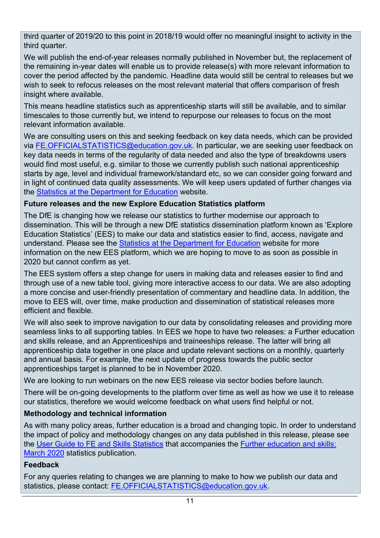third quarter of 2019/20 to this point in 2018/19 would offer no meaningful insight to activity in the third quarter.

 We will publish the end-of-year releases normally published in November but, the replacement of the remaining in-year dates will enable us to provide release(s) with more relevant information to cover the period affected by the pandemic. Headline data would still be central to releases but we wish to seek to refocus releases on the most relevant material that offers comparison of fresh insight where available.

This means headline statistics such as apprenticeship starts will still be available, and to similar timescales to those currently but, we intend to repurpose our releases to focus on the most relevant information available.

 in light of continued data quality assessments. We will keep users updated of further changes via the <u>Statistics at the Department for Education</u> website. We are consulting users on this and seeking feedback on key data needs, which can be provided via [FE.OFFICIALSTATISTICS@education.gov.uk.](mailto:FE.OFFICIALSTATISTICS@education.gov.uk) In particular, we are seeking user feedback on key data needs in terms of the regularity of data needed and also the type of breakdowns users would find most useful, e.g. similar to those we currently publish such national apprenticeship starts by age, level and individual framework/standard etc, so we can consider going forward and

#### **Future releases and the new Explore Education Statistics platform**

The DfE is changing how we release our statistics to further modernise our approach to dissemination. This will be through a new DfE statistics dissemination platform known as 'Explore Education Statistics' (EES) to make our data and statistics easier to find, access, navigate and understand. Please see the [Statistics at the Department for Education](https://www.gov.uk/government/organisations/department-for-education/about/statistics) website for more information on the new EES platform, which we are hoping to move to as soon as possible in 2020 but cannot confirm as yet.

The EES system offers a step change for users in making data and releases easier to find and through use of a new table tool, giving more interactive access to our data. We are also adopting a more concise and user-friendly presentation of commentary and headline data. In addition, the move to EES will, over time, make production and dissemination of statistical releases more efficient and flexible.

We will also seek to improve navigation to our data by consolidating releases and providing more seamless links to all supporting tables. In EES we hope to have two releases: a Further education and skills release, and an Apprenticeships and traineeships release. The latter will bring all apprenticeship data together in one place and update relevant sections on a monthly, quarterly and annual basis. For example, the next update of progress towards the public sector apprenticeships target is planned to be in November 2020.

We are looking to run webinars on the new EES release via sector bodies before launch.

There will be on-going developments to the platform over time as well as how we use it to release our statistics, therefore we would welcome feedback on what users find helpful or not.

#### **Methodology and technical information**

As with many policy areas, further education is a broad and changing topic. In order to understand the impact of policy and methodology changes on any data published in this release, please see the [User Guide to FE and Skills Statistics](https://assets.publishing.service.gov.uk/government/uploads/system/uploads/attachment_data/file/875238/User_Guide_to_Further_Education_Statistics.pdf) that accompanies the [Further education and skills:](https://www.gov.uk/government/statistics/further-education-and-skills-march-2020)  [March 2020](https://www.gov.uk/government/statistics/further-education-and-skills-march-2020) statistics publication.

#### **Feedback**

For any queries relating to changes we are planning to make to how we publish our data and statistics, please contact: [FE.OFFICIALSTATISTICS@education.gov.uk.](mailto:FE.OFFICIALSTATISTICS@education.gov.uk)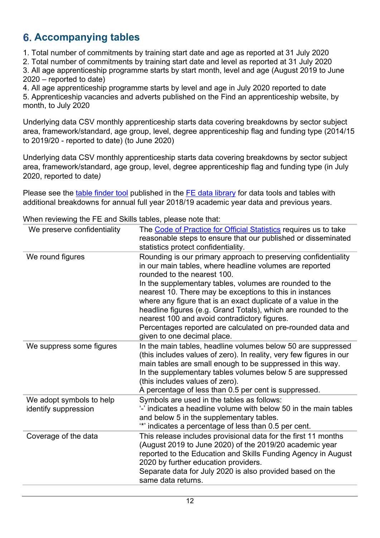## 6. **Accompanying tables**

1. Total number of commitments by training start date and age as reported at 31 July 2020

2. Total number of commitments by training start date and level as reported at 31 July 2020

3. All age apprenticeship programme starts by start month, level and age (August 2019 to June 2020 – reported to date)

4. All age apprenticeship programme starts by level and age in July 2020 reported to date 5. Apprenticeship vacancies and adverts published on the Find an apprenticeship website, by month, to July 2020

 Underlying data CSV monthly apprenticeship starts data covering breakdowns by sector subject area, framework/standard, age group, level, degree apprenticeship flag and funding type (2014/15 to 2019/20 - reported to date) (to June 2020)

 Underlying data CSV monthly apprenticeship starts data covering breakdowns by sector subject area, framework/standard, age group, level, degree apprenticeship flag and funding type (in July 2020, reported to date*)* 

Please see the [table finder tool](https://www.gov.uk/government/publications/fe-data-library-help-for-finding-data) published in the [FE data library](https://www.gov.uk/government/collections/fe-data-library) for data tools and tables with additional breakdowns for annual full year 2018/19 academic year data and previous years.

| We preserve confidentiality                      | The Code of Practice for Official Statistics requires us to take<br>reasonable steps to ensure that our published or disseminated<br>statistics protect confidentiality.                                                                                                                                                                                    |
|--------------------------------------------------|-------------------------------------------------------------------------------------------------------------------------------------------------------------------------------------------------------------------------------------------------------------------------------------------------------------------------------------------------------------|
| We round figures                                 | Rounding is our primary approach to preserving confidentiality<br>in our main tables, where headline volumes are reported<br>rounded to the nearest 100.                                                                                                                                                                                                    |
|                                                  | In the supplementary tables, volumes are rounded to the<br>nearest 10. There may be exceptions to this in instances<br>where any figure that is an exact duplicate of a value in the<br>headline figures (e.g. Grand Totals), which are rounded to the<br>nearest 100 and avoid contradictory figures.                                                      |
|                                                  | Percentages reported are calculated on pre-rounded data and<br>given to one decimal place.                                                                                                                                                                                                                                                                  |
| We suppress some figures                         | In the main tables, headline volumes below 50 are suppressed<br>(this includes values of zero). In reality, very few figures in our<br>main tables are small enough to be suppressed in this way.<br>In the supplementary tables volumes below 5 are suppressed<br>(this includes values of zero).<br>A percentage of less than 0.5 per cent is suppressed. |
| We adopt symbols to help<br>identify suppression | Symbols are used in the tables as follows:<br>'-' indicates a headline volume with below 50 in the main tables<br>and below 5 in the supplementary tables.<br>"" indicates a percentage of less than 0.5 per cent.                                                                                                                                          |
| Coverage of the data                             | This release includes provisional data for the first 11 months<br>(August 2019 to June 2020) of the 2019/20 academic year<br>reported to the Education and Skills Funding Agency in August<br>2020 by further education providers.<br>Separate data for July 2020 is also provided based on the<br>same data returns.                                       |
|                                                  |                                                                                                                                                                                                                                                                                                                                                             |

When reviewing the FE and Skills tables, please note that: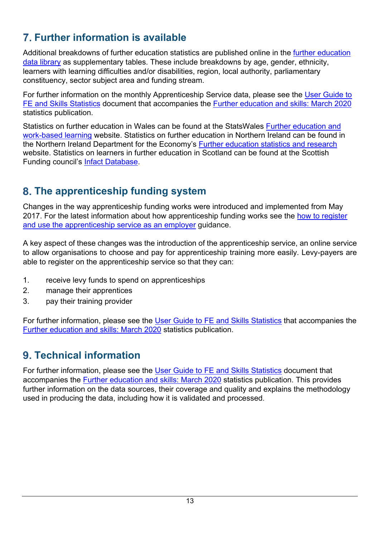# 7. **Further information is available**

Additional breakdowns of [further education](https://www.gov.uk/government/collections/fe-data-library) statistics are published online in the <u>further education</u> [data library](https://www.gov.uk/government/collections/fe-data-library) as supplementary tables. These include breakdowns by age, gender, ethnicity, learners with learning difficulties and/or disabilities, region, local authority, parliamentary constituency, sector subject area and funding stream.

For further information on the monthly Apprenticeship Service data, please see the [User Guide to](https://assets.publishing.service.gov.uk/government/uploads/system/uploads/attachment_data/file/875238/User_Guide_to_Further_Education_Statistics.pdf)  [FE and Skills Statistics](https://assets.publishing.service.gov.uk/government/uploads/system/uploads/attachment_data/file/875238/User_Guide_to_Further_Education_Statistics.pdf) document that accompanies the [Further education and skills: March 2020](https://www.gov.uk/government/statistics/further-education-and-skills-march-2020)  statistics publication.

Statistics on further education in Wales can be found at the StatsWales [Further education and](https://statswales.gov.wales/Catalogue/Education-and-Skills/Post-16-Education-and-Training/Further-Education-and-Work-Based-Learning)  [work-based learning](https://statswales.gov.wales/Catalogue/Education-and-Skills/Post-16-Education-and-Training/Further-Education-and-Work-Based-Learning) website. Statistics on further education in Northern Ireland can be found in the Northern Ireland Department for the Economy's [Further education statistics and research](https://www.economy-ni.gov.uk/topics/statistics-and-economic-research/further-education-statistics-and-research)  website. Statistics on learners in further education in Scotland can be found at the Scottish Funding council's [Infact Database.](https://stats.sfc.ac.uk/infact/)

# 8. **The apprenticeship funding system**

2017. For the [latest information about how apprenticeship funding](https://www.gov.uk/guidance/manage-apprenticeship-funds) works see the <u>how to register</u> [and use the apprenticeship service as an employer](https://www.gov.uk/guidance/manage-apprenticeship-funds) guidance. Changes in the way apprenticeship funding works were introduced and implemented from May

A key aspect of these changes was the introduction of the apprenticeship service, an online service to allow organisations to choose and pay for apprenticeship training more easily. Levy-payers are able to register on the apprenticeship service so that they can:

- 1. receive levy funds to spend on apprenticeships
- 2. manage their apprentices
- 3. pay their training provider

For further information, please see the [User Guide to FE and Skills Statistics](https://assets.publishing.service.gov.uk/government/uploads/system/uploads/attachment_data/file/875238/User_Guide_to_Further_Education_Statistics.pdf) that accompanies the [Further education and skills: March 2020](https://www.gov.uk/government/statistics/further-education-and-skills-march-2020) statistics publication.

# 9. **Technical information**

For further information, please see the [User Guide to FE and Skills Statistics](https://assets.publishing.service.gov.uk/government/uploads/system/uploads/attachment_data/file/875238/User_Guide_to_Further_Education_Statistics.pdf) document that accompanies the [Further education and skills: March 2020](https://www.gov.uk/government/statistics/further-education-and-skills-march-2020) statistics publication. This provides further information on the data sources, their coverage and quality and explains the methodology used in producing the data, including how it is validated and processed.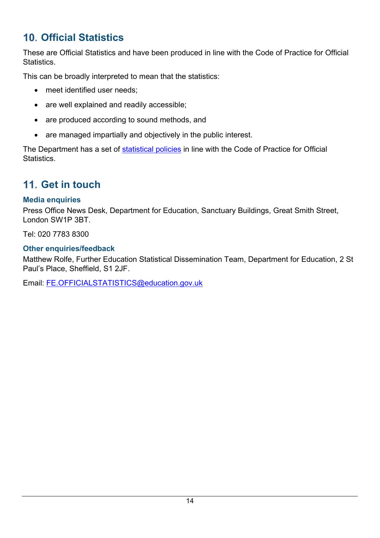# 10. **Official Statistics**

These are Official Statistics and have been produced in line with the Code of Practice for Official **Statistics** 

This can be broadly interpreted to mean that the statistics:

- meet identified user needs;
- are well explained and readily accessible;
- are produced according to sound methods, and
- are managed impartially and objectively in the public interest.

The Department has a set of <u>statistical policies</u> in line with the Code of Practice for Official **Statistics** 

# 11. **Get in touch**

## **Media enquiries**

Press Office News Desk, Department for Education, Sanctuary Buildings, Great Smith Street, London SW1P 3BT.

Tel: 020 7783 8300

## **Other enquiries/feedback**

Matthew Rolfe, Further Education Statistical Dissemination Team, Department for Education, 2 St Paul's Place, Sheffield, S1 2JF.

Email: [FE.OFFICIALSTATISTICS@education.gov.uk](mailto:FE.OFFICIALSTATISTICS@education.gov.uk)